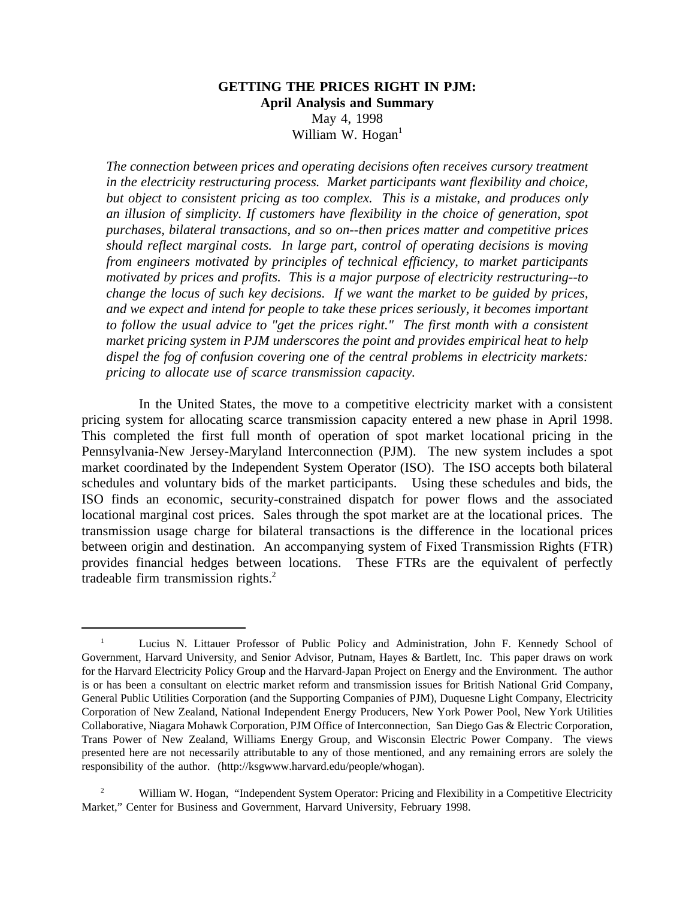## **GETTING THE PRICES RIGHT IN PJM: April Analysis and Summary** May 4, 1998 William W.  $Hogan<sup>1</sup>$

*The connection between prices and operating decisions often receives cursory treatment in the electricity restructuring process. Market participants want flexibility and choice, but object to consistent pricing as too complex. This is a mistake, and produces only an illusion of simplicity. If customers have flexibility in the choice of generation, spot purchases, bilateral transactions, and so on--then prices matter and competitive prices should reflect marginal costs. In large part, control of operating decisions is moving from engineers motivated by principles of technical efficiency, to market participants motivated by prices and profits. This is a major purpose of electricity restructuring--to change the locus of such key decisions. If we want the market to be guided by prices, and we expect and intend for people to take these prices seriously, it becomes important to follow the usual advice to "get the prices right." The first month with a consistent market pricing system in PJM underscores the point and provides empirical heat to help dispel the fog of confusion covering one of the central problems in electricity markets: pricing to allocate use of scarce transmission capacity.*

In the United States, the move to a competitive electricity market with a consistent pricing system for allocating scarce transmission capacity entered a new phase in April 1998. This completed the first full month of operation of spot market locational pricing in the Pennsylvania-New Jersey-Maryland Interconnection (PJM). The new system includes a spot market coordinated by the Independent System Operator (ISO). The ISO accepts both bilateral schedules and voluntary bids of the market participants. Using these schedules and bids, the ISO finds an economic, security-constrained dispatch for power flows and the associated locational marginal cost prices. Sales through the spot market are at the locational prices. The transmission usage charge for bilateral transactions is the difference in the locational prices between origin and destination. An accompanying system of Fixed Transmission Rights (FTR) provides financial hedges between locations. These FTRs are the equivalent of perfectly tradeable firm transmission rights. $2$ 

<sup>1</sup> Lucius N. Littauer Professor of Public Policy and Administration, John F. Kennedy School of Government, Harvard University, and Senior Advisor, Putnam, Hayes & Bartlett, Inc. This paper draws on work for the Harvard Electricity Policy Group and the Harvard-Japan Project on Energy and the Environment. The author is or has been a consultant on electric market reform and transmission issues for British National Grid Company, General Public Utilities Corporation (and the Supporting Companies of PJM), Duquesne Light Company, Electricity Corporation of New Zealand, National Independent Energy Producers, New York Power Pool, New York Utilities Collaborative, Niagara Mohawk Corporation, PJM Office of Interconnection, San Diego Gas & Electric Corporation, Trans Power of New Zealand, Williams Energy Group, and Wisconsin Electric Power Company. The views presented here are not necessarily attributable to any of those mentioned, and any remaining errors are solely the responsibility of the author. (http://ksgwww.harvard.edu/people/whogan).

<sup>2</sup> William W. Hogan, "Independent System Operator: Pricing and Flexibility in a Competitive Electricity Market," Center for Business and Government, Harvard University, February 1998.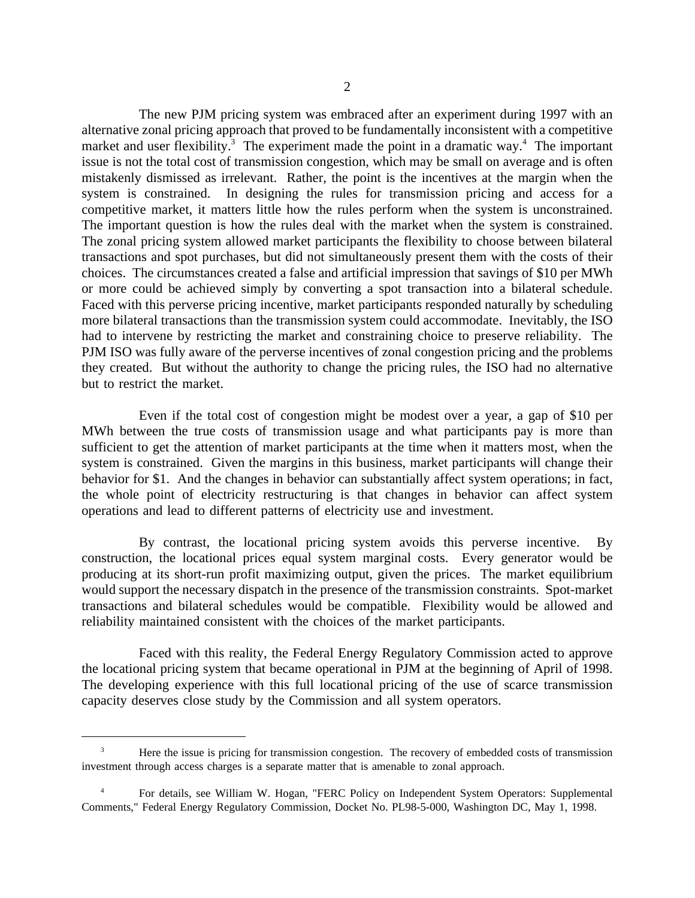The new PJM pricing system was embraced after an experiment during 1997 with an alternative zonal pricing approach that proved to be fundamentally inconsistent with a competitive market and user flexibility.<sup>3</sup> The experiment made the point in a dramatic way.<sup>4</sup> The important issue is not the total cost of transmission congestion, which may be small on average and is often mistakenly dismissed as irrelevant. Rather, the point is the incentives at the margin when the system is constrained. In designing the rules for transmission pricing and access for a competitive market, it matters little how the rules perform when the system is unconstrained. The important question is how the rules deal with the market when the system is constrained. The zonal pricing system allowed market participants the flexibility to choose between bilateral transactions and spot purchases, but did not simultaneously present them with the costs of their choices. The circumstances created a false and artificial impression that savings of \$10 per MWh or more could be achieved simply by converting a spot transaction into a bilateral schedule. Faced with this perverse pricing incentive, market participants responded naturally by scheduling more bilateral transactions than the transmission system could accommodate. Inevitably, the ISO had to intervene by restricting the market and constraining choice to preserve reliability. The PJM ISO was fully aware of the perverse incentives of zonal congestion pricing and the problems they created. But without the authority to change the pricing rules, the ISO had no alternative but to restrict the market.

Even if the total cost of congestion might be modest over a year, a gap of \$10 per MWh between the true costs of transmission usage and what participants pay is more than sufficient to get the attention of market participants at the time when it matters most, when the system is constrained. Given the margins in this business, market participants will change their behavior for \$1. And the changes in behavior can substantially affect system operations; in fact, the whole point of electricity restructuring is that changes in behavior can affect system operations and lead to different patterns of electricity use and investment.

By contrast, the locational pricing system avoids this perverse incentive. By construction, the locational prices equal system marginal costs. Every generator would be producing at its short-run profit maximizing output, given the prices. The market equilibrium would support the necessary dispatch in the presence of the transmission constraints. Spot-market transactions and bilateral schedules would be compatible. Flexibility would be allowed and reliability maintained consistent with the choices of the market participants.

Faced with this reality, the Federal Energy Regulatory Commission acted to approve the locational pricing system that became operational in PJM at the beginning of April of 1998. The developing experience with this full locational pricing of the use of scarce transmission capacity deserves close study by the Commission and all system operators.

<sup>&</sup>lt;sup>3</sup> Here the issue is pricing for transmission congestion. The recovery of embedded costs of transmission investment through access charges is a separate matter that is amenable to zonal approach.

<sup>4</sup> For details, see William W. Hogan, "FERC Policy on Independent System Operators: Supplemental Comments," Federal Energy Regulatory Commission, Docket No. PL98-5-000, Washington DC, May 1, 1998.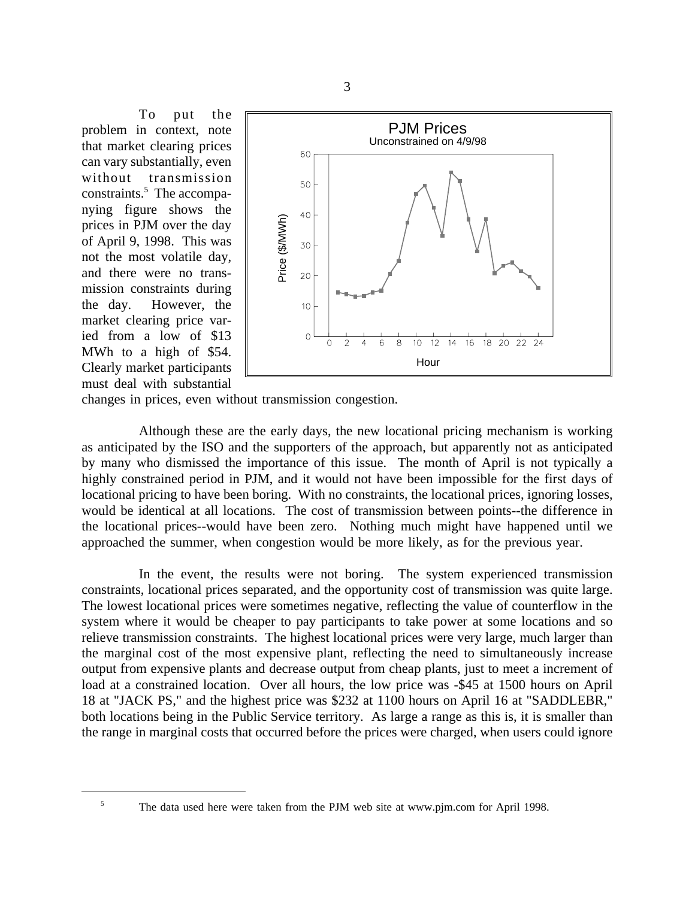To put the problem in context, note that market clearing prices can vary substantially, even without transmission constraints.<sup>5</sup> The accompanying figure shows the prices in PJM over the day of April 9, 1998. This was not the most volatile day, and there were no transmission constraints during the day. However, the market clearing price varied from a low of \$13 MWh to a high of \$54. Clearly market participants must deal with substantial



changes in prices, even without transmission congestion.

Although these are the early days, the new locational pricing mechanism is working as anticipated by the ISO and the supporters of the approach, but apparently not as anticipated by many who dismissed the importance of this issue. The month of April is not typically a highly constrained period in PJM, and it would not have been impossible for the first days of locational pricing to have been boring. With no constraints, the locational prices, ignoring losses, would be identical at all locations. The cost of transmission between points--the difference in the locational prices--would have been zero. Nothing much might have happened until we approached the summer, when congestion would be more likely, as for the previous year.

In the event, the results were not boring. The system experienced transmission constraints, locational prices separated, and the opportunity cost of transmission was quite large. The lowest locational prices were sometimes negative, reflecting the value of counterflow in the system where it would be cheaper to pay participants to take power at some locations and so relieve transmission constraints. The highest locational prices were very large, much larger than the marginal cost of the most expensive plant, reflecting the need to simultaneously increase output from expensive plants and decrease output from cheap plants, just to meet a increment of load at a constrained location. Over all hours, the low price was -\$45 at 1500 hours on April 18 at "JACK PS," and the highest price was \$232 at 1100 hours on April 16 at "SADDLEBR," both locations being in the Public Service territory. As large a range as this is, it is smaller than the range in marginal costs that occurred before the prices were charged, when users could ignore

<sup>5</sup> The data used here were taken from the PJM web site at www.pjm.com for April 1998.

3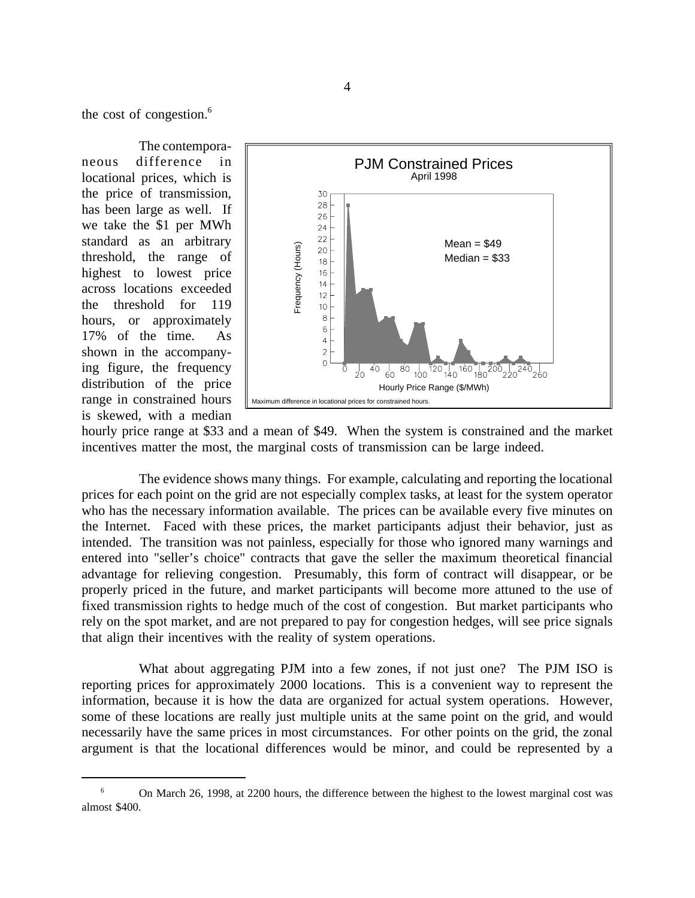the cost of congestion. $6$ 

The contemporaneous difference in locational prices, which is the price of transmission, has been large as well. If we take the \$1 per MWh standard as an arbitrary threshold, the range of highest to lowest price across locations exceeded the threshold for 119 hours, or approximately 17% of the time. As shown in the accompanying figure, the frequency distribution of the price range in constrained hours is skewed, with a median



hourly price range at \$33 and a mean of \$49. When the system is constrained and the market incentives matter the most, the marginal costs of transmission can be large indeed.

The evidence shows many things. For example, calculating and reporting the locational prices for each point on the grid are not especially complex tasks, at least for the system operator who has the necessary information available. The prices can be available every five minutes on the Internet. Faced with these prices, the market participants adjust their behavior, just as intended. The transition was not painless, especially for those who ignored many warnings and entered into "seller's choice" contracts that gave the seller the maximum theoretical financial advantage for relieving congestion. Presumably, this form of contract will disappear, or be properly priced in the future, and market participants will become more attuned to the use of fixed transmission rights to hedge much of the cost of congestion. But market participants who rely on the spot market, and are not prepared to pay for congestion hedges, will see price signals that align their incentives with the reality of system operations.

What about aggregating PJM into a few zones, if not just one? The PJM ISO is reporting prices for approximately 2000 locations. This is a convenient way to represent the information, because it is how the data are organized for actual system operations. However, some of these locations are really just multiple units at the same point on the grid, and would necessarily have the same prices in most circumstances. For other points on the grid, the zonal argument is that the locational differences would be minor, and could be represented by a

<sup>&</sup>lt;sup>6</sup> On March 26, 1998, at 2200 hours, the difference between the highest to the lowest marginal cost was almost \$400.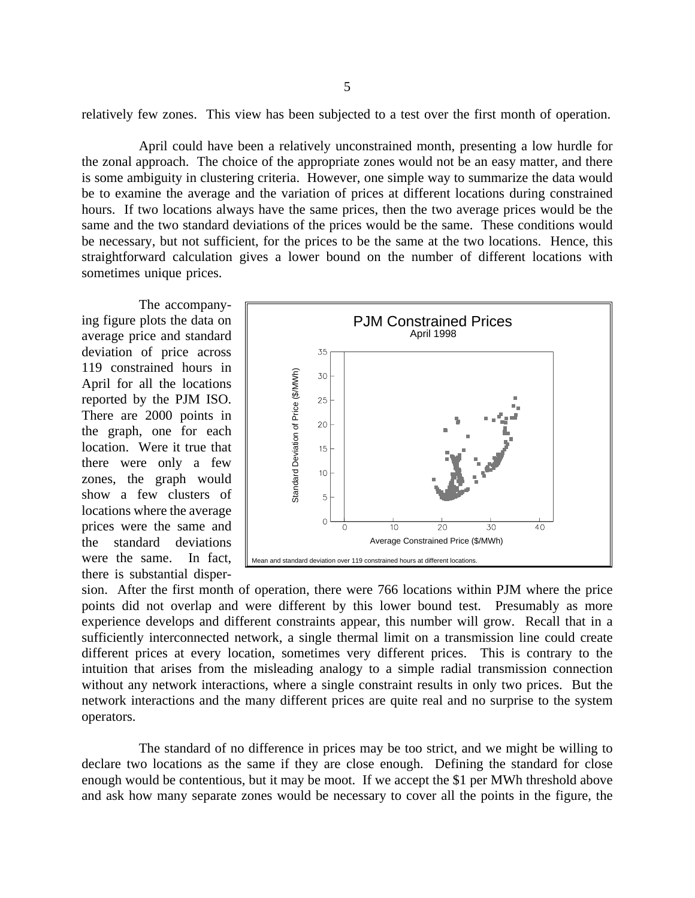relatively few zones. This view has been subjected to a test over the first month of operation.

April could have been a relatively unconstrained month, presenting a low hurdle for the zonal approach. The choice of the appropriate zones would not be an easy matter, and there is some ambiguity in clustering criteria. However, one simple way to summarize the data would be to examine the average and the variation of prices at different locations during constrained hours. If two locations always have the same prices, then the two average prices would be the same and the two standard deviations of the prices would be the same. These conditions would be necessary, but not sufficient, for the prices to be the same at the two locations. Hence, this straightforward calculation gives a lower bound on the number of different locations with sometimes unique prices.

The accompanying figure plots the data on average price and standard deviation of price across 119 constrained hours in April for all the locations reported by the PJM ISO. There are 2000 points in the graph, one for each location. Were it true that there were only a few zones, the graph would show a few clusters of locations where the average prices were the same and the standard deviations were the same. In fact, there is substantial disper-



sion. After the first month of operation, there were 766 locations within PJM where the price points did not overlap and were different by this lower bound test. Presumably as more experience develops and different constraints appear, this number will grow. Recall that in a sufficiently interconnected network, a single thermal limit on a transmission line could create different prices at every location, sometimes very different prices. This is contrary to the intuition that arises from the misleading analogy to a simple radial transmission connection without any network interactions, where a single constraint results in only two prices. But the network interactions and the many different prices are quite real and no surprise to the system operators.

The standard of no difference in prices may be too strict, and we might be willing to declare two locations as the same if they are close enough. Defining the standard for close enough would be contentious, but it may be moot. If we accept the \$1 per MWh threshold above and ask how many separate zones would be necessary to cover all the points in the figure, the